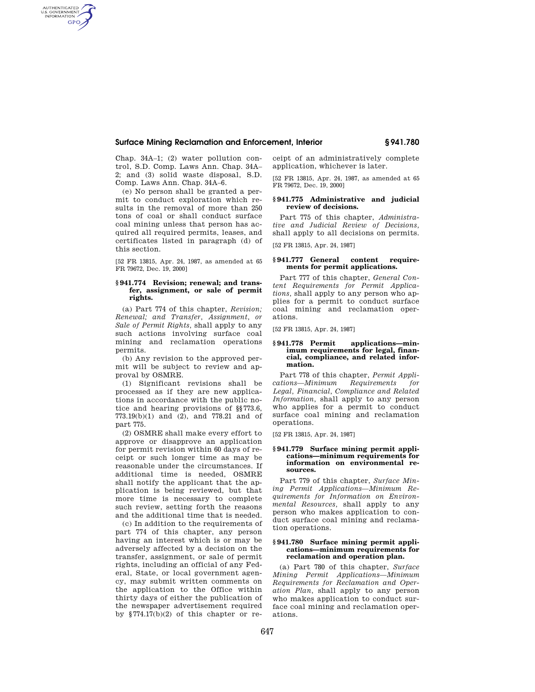#### **Surface Mining Reclamation and Enforcement, Interior § 941.780**

Chap. 34A–1; (2) water pollution control, S.D. Comp. Laws Ann. Chap. 34A– 2; and (3) solid waste disposal, S.D. Comp. Laws Ann. Chap. 34A–6.

AUTHENTICATED<br>U.S. GOVERNMENT<br>INFORMATION **GPO** 

> (e) No person shall be granted a permit to conduct exploration which results in the removal of more than 250 tons of coal or shall conduct surface coal mining unless that person has acquired all required permits, leases, and certificates listed in paragraph (d) of this section.

> [52 FR 13815, Apr. 24, 1987, as amended at 65 FR 79672, Dec. 19, 2000]

#### **§ 941.774 Revision; renewal; and transfer, assignment, or sale of permit rights.**

(a) Part 774 of this chapter, *Revision; Renewal; and Transfer, Assignment, or Sale of Permit Rights,* shall apply to any such actions involving surface coal mining and reclamation operations permits.

(b) Any revision to the approved permit will be subject to review and approval by OSMRE.

(1) Significant revisions shall be processed as if they are new applications in accordance with the public notice and hearing provisions of §§773.6, 773.19(b)(1) and (2), and 778.21 and of part 775.

(2) OSMRE shall make every effort to approve or disapprove an application for permit revision within 60 days of receipt or such longer time as may be reasonable under the circumstances. If additional time is needed, OSMRE shall notify the applicant that the application is being reviewed, but that more time is necessary to complete such review, setting forth the reasons and the additional time that is needed.

(c) In addition to the requirements of part 774 of this chapter, any person having an interest which is or may be adversely affected by a decision on the transfer, assignment, or sale of permit rights, including an official of any Federal, State, or local government agency, may submit written comments on the application to the Office within thirty days of either the publication of the newspaper advertisement required by §774.17(b)(2) of this chapter or receipt of an administratively complete application, whichever is later.

[52 FR 13815, Apr. 24, 1987, as amended at 65 FR 79672, Dec. 19, 2000]

#### **§ 941.775 Administrative and judicial review of decisions.**

Part 775 of this chapter, *Administrative and Judicial Review of Decisions,*  shall apply to all decisions on permits.

[52 FR 13815, Apr. 24, 1987]

#### **§ 941.777 General content requirements for permit applications.**

Part 777 of this chapter, *General Content Requirements for Permit Applications,* shall apply to any person who applies for a permit to conduct surface coal mining and reclamation operations.

[52 FR 13815, Apr. 24, 1987]

#### **§ 941.778 Permit applications—minimum requirements for legal, financial, compliance, and related information.**

Part 778 of this chapter, *Permit Applications—Minimum Requirements for Legal, Financial, Compliance and Related Information,* shall apply to any person who applies for a permit to conduct surface coal mining and reclamation operations.

[52 FR 13815, Apr. 24, 1987]

#### **§ 941.779 Surface mining permit applications—minimum requirements for information on environmental resources.**

Part 779 of this chapter, *Surface Mining Permit Applications—Minimum Requirements for Information on Environmental Resources,* shall apply to any person who makes application to conduct surface coal mining and reclamation operations.

#### **§ 941.780 Surface mining permit applications—minimum requirements for reclamation and operation plan.**

(a) Part 780 of this chapter, *Surface Mining Permit Applications—Minimum Requirements for Reclamation and Operation Plan,* shall apply to any person who makes application to conduct surface coal mining and reclamation operations.